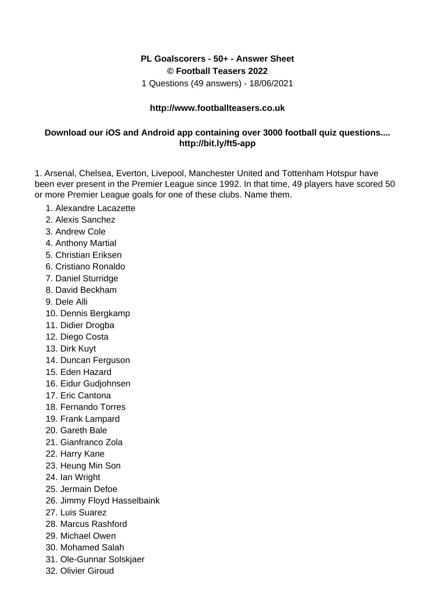## **PL Goalscorers - 50+ - Answer Sheet © Football Teasers 2022**

1 Questions (49 answers) - 18/06/2021

## **http://www.footballteasers.co.uk**

## **Download our iOS and Android app containing over 3000 football quiz questions.... http://bit.ly/ft5-app**

1. Arsenal, Chelsea, Everton, Livepool, Manchester United and Tottenham Hotspur have been ever present in the Premier League since 1992. In that time, 49 players have scored 50 or more Premier League goals for one of these clubs. Name them.

- 1. Alexandre Lacazette
- 2. Alexis Sanchez
- 3. Andrew Cole
- 4. Anthony Martial
- 5. Christian Eriksen
- 6. Cristiano Ronaldo
- 7. Daniel Sturridge
- 8. David Beckham
- 9. Dele Alli
- 10. Dennis Bergkamp
- 11. Didier Drogba
- 12. Diego Costa
- 13. Dirk Kuyt
- 14. Duncan Ferguson
- 15. Eden Hazard
- 16. Eidur Gudjohnsen
- 17. Eric Cantona
- 18. Fernando Torres
- 19. Frank Lampard
- 20. Gareth Bale
- 21. Gianfranco Zola
- 22. Harry Kane
- 23. Heung Min Son
- 24. Ian Wright
- 25. Jermain Defoe
- 26. Jimmy Floyd Hasselbaink
- 27. Luis Suarez
- 28. Marcus Rashford
- 29. Michael Owen
- 30. Mohamed Salah
- 31. Ole-Gunnar Solskjaer
- 32. Olivier Giroud